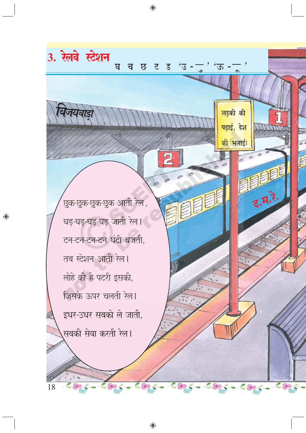छुक-छुक-छुक-छुक आती रेल, घड़-घड़-घड़-घड़ जाती रेल। टन-टन-टन-टन घंटी बजती, तब स्टेशन आती रेल। लोहे की है पटरी इसकी, जिसके ऊपर चलती रेल। इधर-उधर सबको ले जाती, सबकी सेवा करती रेल।

 $\begin{array}{ccccc}\n\mathcal{L} & \mathcal{L} & \mathcal{L}\n\end{array}$ 

 $\epsilon$ 

 $\overline{18}$ 

3. रेलवे स्टेशन

◈

घ

च

छ

 $\bigoplus$ 

ट

 $\overline{C}$ 

ड

 $\mathfrak{t}$ 

ऊ

<mark>लड़की की</mark>

पढ़ाई, देश

<mark>की भलाई</mark>।

**TITT** 

泪

द.म.रे.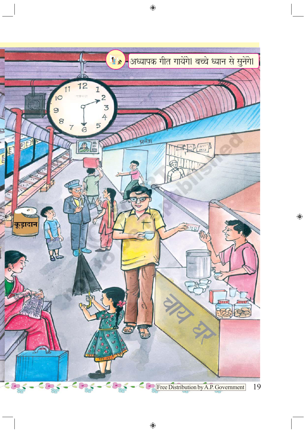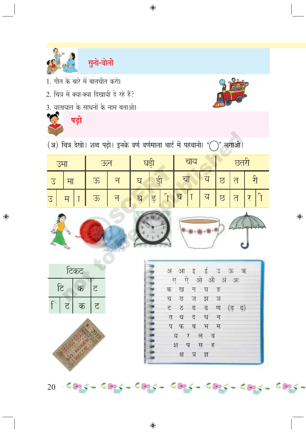

सुनो-बोलो

- 1. गीत के बारे में बातचीत करो।
- 2. चित्र में क्या-क्या दिखायी दे रहे हैं?
- 3. यातायात के साधनों के नाम बताओ।



 $\bigoplus$ 

पढ़ो

 $\bigoplus$ 

 $\mathcal{L}(\mathfrak{A})$  चित्र देखो। शब्द पढ़ो। इनके वर्ण वर्णमाला चार्ट में पहचानो।  $\mathcal{L}(\mathcal{L})^{\prime}$  लगाओ।

 $\bigoplus$ 

|                |  |   |   | $\overline{G}$ |             | चाय |  |  |  |  |
|----------------|--|---|---|----------------|-------------|-----|--|--|--|--|
| ंउ             |  | ऊ | ᅱ | Я              | डी          |     |  |  |  |  |
| $\overline{B}$ |  | ऊ | न | छ              | $\cap$<br>ड | ਹ   |  |  |  |  |



टिकट टि क  $\overline{c}$ ਟ क ਟ



|             |          |   |           | अ आ इ ई उ ऊ ऋ |      |  |
|-------------|----------|---|-----------|---------------|------|--|
|             |          |   |           | —ए ऐ ओ औ अं   | ः अः |  |
|             |          |   | क खग घङ   |               |      |  |
|             |          |   | च छ ज झ ञ |               |      |  |
|             |          |   |           | ट ठड ढण (ड ढ) |      |  |
| त           | थ        | द | ध         | न             |      |  |
| प           | फ        | ब | भ         | म             |      |  |
| $\bm{\tau}$ | <u>т</u> |   |           |               |      |  |

q Ч श ष स ह $\overline{6}$ क्ष ন্ন ্র

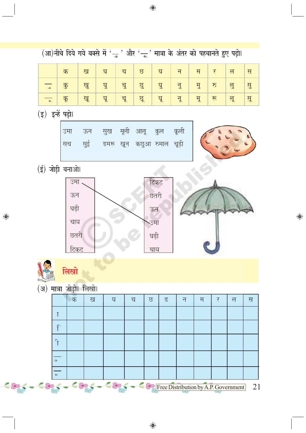| (आ)नीचे दिये गये बक्से में ' <sub>उ</sub> ं और 'ू' मात्रा के अंतर को पहचानते हुए पढ़ो। |                           |                                                   |           |     |    |          |                                           |      |    |    |                         |    |
|----------------------------------------------------------------------------------------|---------------------------|---------------------------------------------------|-----------|-----|----|----------|-------------------------------------------|------|----|----|-------------------------|----|
|                                                                                        | क                         |                                                   | ख         | घ   | च  | $\Omega$ | घ                                         | न    | म  | र  | $\overline{\mathsf{P}}$ | स  |
| $\bullet$                                                                              | $\overline{\mathfrak{F}}$ |                                                   | खु        | घु  | चु | छु       | घु                                        | नु   | मु | रु | लु                      | सु |
| $\sim$                                                                                 | कू                        |                                                   | खू        | घू  | चू | छू       | घू                                        | नू   | मू | रू | लू                      | सू |
| (इ) इन्हें पढ़ो।                                                                       |                           |                                                   |           |     |    |          |                                           |      |    |    |                         |    |
|                                                                                        |                           | उमा<br>सच                                         | ऊन<br>सुई | सुख |    |          | मूली आलू कुल<br>डमरू खून कछुआ रुमाल चूड़ी | कूली |    |    |                         |    |
| (ई) जोड़ी बनाओ।                                                                        |                           |                                                   |           |     |    |          |                                           |      |    |    |                         |    |
|                                                                                        |                           | उमा .<br>ऊन<br>घड़ी<br>चाय<br>छतरी<br><u>टिकट</u> |           |     |    |          | टिकट<br>छतरी<br>ऊन<br>उमा<br>घड़ी<br>चाय  |      |    |    |                         |    |
| लिखो<br><b>CONTRACTOR</b>                                                              |                           |                                                   |           |     |    |          |                                           |      |    |    |                         |    |
| (अ) <mark>मात्रा जो</mark> ड़ो। लिखो।                                                  |                           |                                                   |           |     |    |          |                                           |      |    |    |                         |    |
|                                                                                        |                           | क                                                 | ख         | घ   |    | च<br>ত   | $\overline{5}$                            | न    | म  | र  | ल                       | स  |
|                                                                                        | $\mathbb T$               |                                                   |           |     |    |          |                                           |      |    |    |                         |    |
|                                                                                        | $\bigcap$                 |                                                   |           |     |    |          |                                           |      |    |    |                         |    |
|                                                                                        | $\mathcal{T}$             |                                                   |           |     |    |          |                                           |      |    |    |                         |    |
|                                                                                        | ی                         |                                                   |           |     |    |          |                                           |      |    |    |                         |    |
|                                                                                        | $\mathcal{L}$             |                                                   |           |     |    |          |                                           |      |    |    |                         |    |

 $\bigoplus$ 

Free Distribution by A.P. Government  $\overline{21}$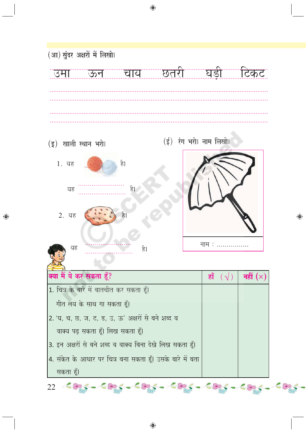

◈

◈

 $22 - 60 - 60 - 60$